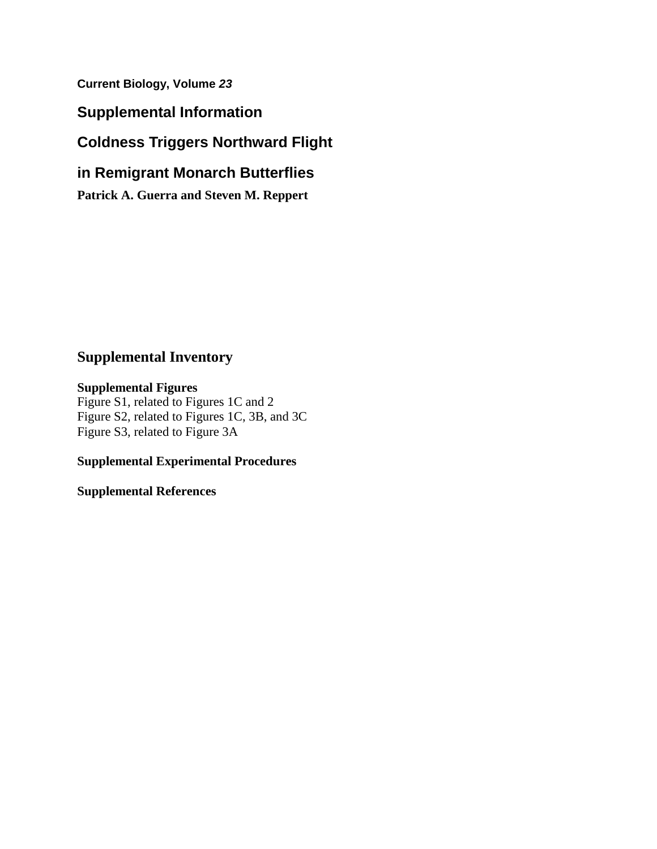**Current Biology, Volume** *23*

**Supplemental Information**

# **Coldness Triggers Northward Flight**

# **in Remigrant Monarch Butterflies**

**Patrick A. Guerra and Steven M. Reppert**

# **Supplemental Inventory**

## **Supplemental Figures**

Figure S1, related to Figures 1C and 2 Figure S2, related to Figures 1C, 3B, and 3C Figure S3, related to Figure 3A

# **Supplemental Experimental Procedures**

**Supplemental References**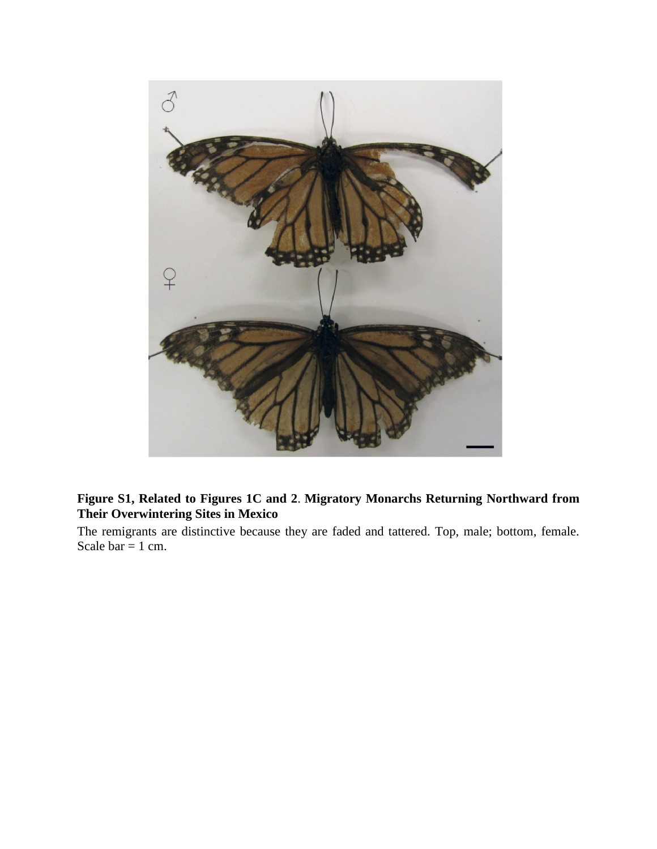

## **Figure S1, Related to Figures 1C and 2**. **Migratory Monarchs Returning Northward from Their Overwintering Sites in Mexico**

The remigrants are distinctive because they are faded and tattered. Top, male; bottom, female. Scale bar = 1 cm.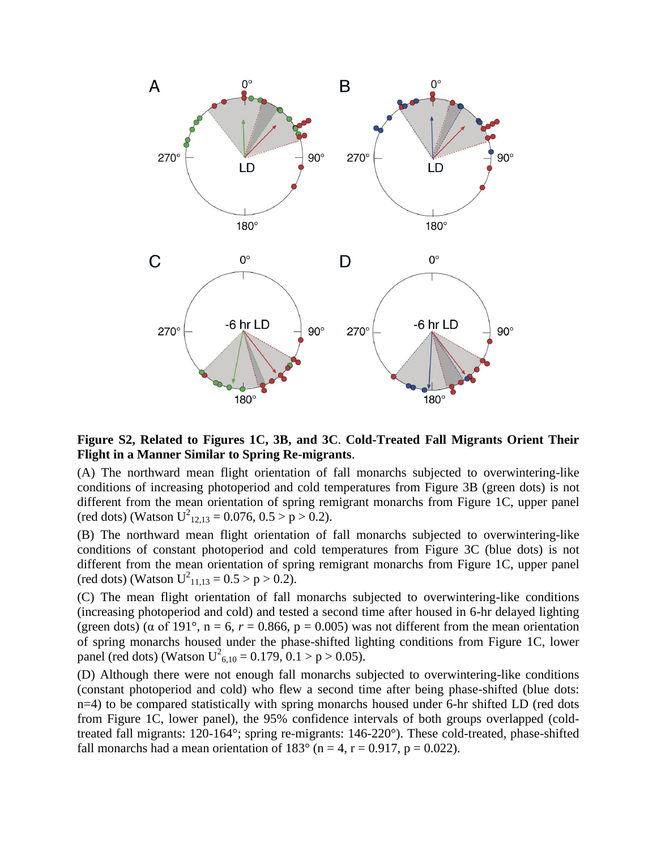

### **Figure S2, Related to Figures 1C, 3B, and 3C**. **Cold-Treated Fall Migrants Orient Their Flight in a Manner Similar to Spring Re-migrants**.

(A) The northward mean flight orientation of fall monarchs subjected to overwintering-like conditions of increasing photoperiod and cold temperatures from Figure 3B (green dots) is not different from the mean orientation of spring remigrant monarchs from Figure 1C, upper panel (red dots) (Watson  $U^2_{12,13} = 0.076, 0.5 > p > 0.2$ ).

(B) The northward mean flight orientation of fall monarchs subjected to overwintering-like conditions of constant photoperiod and cold temperatures from Figure 3C (blue dots) is not different from the mean orientation of spring remigrant monarchs from Figure 1C, upper panel (red dots) (Watson  $U^2_{11,13} = 0.5 > p > 0.2$ ).

(C) The mean flight orientation of fall monarchs subjected to overwintering-like conditions (increasing photoperiod and cold) and tested a second time after housed in 6-hr delayed lighting (green dots) ( $\alpha$  of 191 $\degree$ ,  $n = 6$ ,  $r = 0.866$ ,  $p = 0.005$ ) was not different from the mean orientation of spring monarchs housed under the phase-shifted lighting conditions from Figure 1C, lower panel (red dots) (Watson  $U^2_{6,10} = 0.179, 0.1 > p > 0.05$ ).

(D) Although there were not enough fall monarchs subjected to overwintering-like conditions (constant photoperiod and cold) who flew a second time after being phase-shifted (blue dots: n=4) to be compared statistically with spring monarchs housed under 6-hr shifted LD (red dots from Figure 1C, lower panel), the 95% confidence intervals of both groups overlapped (coldtreated fall migrants: 120-164°; spring re-migrants: 146-220°). These cold-treated, phase-shifted fall monarchs had a mean orientation of  $183^\circ$  (n = 4, r = 0.917, p = 0.022).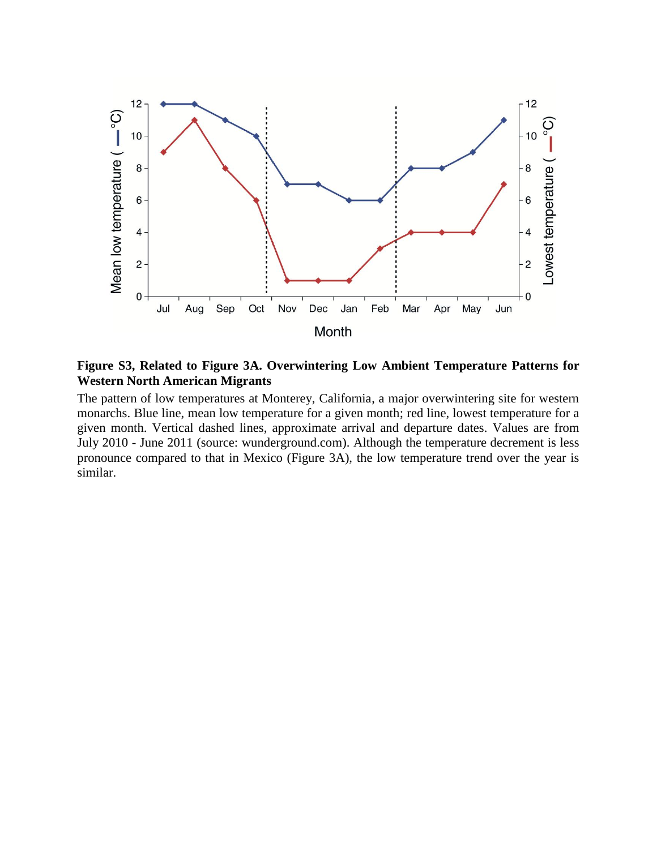

**Figure S3, Related to Figure 3A. Overwintering Low Ambient Temperature Patterns for Western North American Migrants**

The pattern of low temperatures at Monterey, California, a major overwintering site for western monarchs. Blue line, mean low temperature for a given month; red line, lowest temperature for a given month. Vertical dashed lines, approximate arrival and departure dates. Values are from July 2010 - June 2011 (source: wunderground.com). Although the temperature decrement is less pronounce compared to that in Mexico (Figure 3A), the low temperature trend over the year is similar.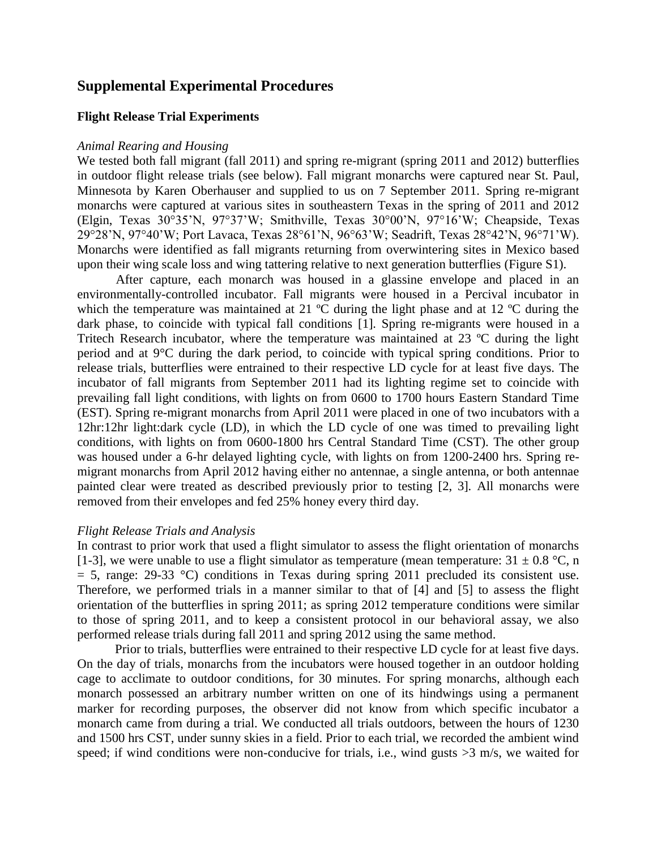### **Supplemental Experimental Procedures**

#### **Flight Release Trial Experiments**

#### *Animal Rearing and Housing*

We tested both fall migrant (fall 2011) and spring re-migrant (spring 2011 and 2012) butterflies in outdoor flight release trials (see below). Fall migrant monarchs were captured near St. Paul, Minnesota by Karen Oberhauser and supplied to us on 7 September 2011. Spring re-migrant monarchs were captured at various sites in southeastern Texas in the spring of 2011 and 2012 (Elgin, Texas 30°35'N, 97°37'W; Smithville, Texas 30°00'N, 97°16'W; Cheapside, Texas 29°28'N, 97°40'W; Port Lavaca, Texas 28°61'N, 96°63'W; Seadrift, Texas 28°42'N, 96°71'W). Monarchs were identified as fall migrants returning from overwintering sites in Mexico based upon their wing scale loss and wing tattering relative to next generation butterflies (Figure S1).

After capture, each monarch was housed in a glassine envelope and placed in an environmentally-controlled incubator. Fall migrants were housed in a Percival incubator in which the temperature was maintained at 21 °C during the light phase and at 12 °C during the dark phase, to coincide with typical fall conditions [1]*.* Spring re-migrants were housed in a Tritech Research incubator, where the temperature was maintained at 23 ºC during the light period and at 9°C during the dark period, to coincide with typical spring conditions. Prior to release trials, butterflies were entrained to their respective LD cycle for at least five days. The incubator of fall migrants from September 2011 had its lighting regime set to coincide with prevailing fall light conditions, with lights on from 0600 to 1700 hours Eastern Standard Time (EST). Spring re-migrant monarchs from April 2011 were placed in one of two incubators with a 12hr:12hr light:dark cycle (LD), in which the LD cycle of one was timed to prevailing light conditions, with lights on from 0600-1800 hrs Central Standard Time (CST). The other group was housed under a 6-hr delayed lighting cycle, with lights on from 1200-2400 hrs. Spring remigrant monarchs from April 2012 having either no antennae, a single antenna, or both antennae painted clear were treated as described previously prior to testing [2, 3]*.* All monarchs were removed from their envelopes and fed 25% honey every third day.

#### *Flight Release Trials and Analysis*

In contrast to prior work that used a flight simulator to assess the flight orientation of monarchs [1-3], we were unable to use a flight simulator as temperature (mean temperature:  $31 \pm 0.8$  °C, n  $= 5$ , range: 29-33 °C) conditions in Texas during spring 2011 precluded its consistent use. Therefore, we performed trials in a manner similar to that of [4] and [5] to assess the flight orientation of the butterflies in spring 2011; as spring 2012 temperature conditions were similar to those of spring 2011, and to keep a consistent protocol in our behavioral assay, we also performed release trials during fall 2011 and spring 2012 using the same method.

Prior to trials, butterflies were entrained to their respective LD cycle for at least five days. On the day of trials, monarchs from the incubators were housed together in an outdoor holding cage to acclimate to outdoor conditions, for 30 minutes. For spring monarchs, although each monarch possessed an arbitrary number written on one of its hindwings using a permanent marker for recording purposes, the observer did not know from which specific incubator a monarch came from during a trial. We conducted all trials outdoors, between the hours of 1230 and 1500 hrs CST, under sunny skies in a field. Prior to each trial, we recorded the ambient wind speed; if wind conditions were non-conducive for trials, i.e., wind gusts  $>3$  m/s, we waited for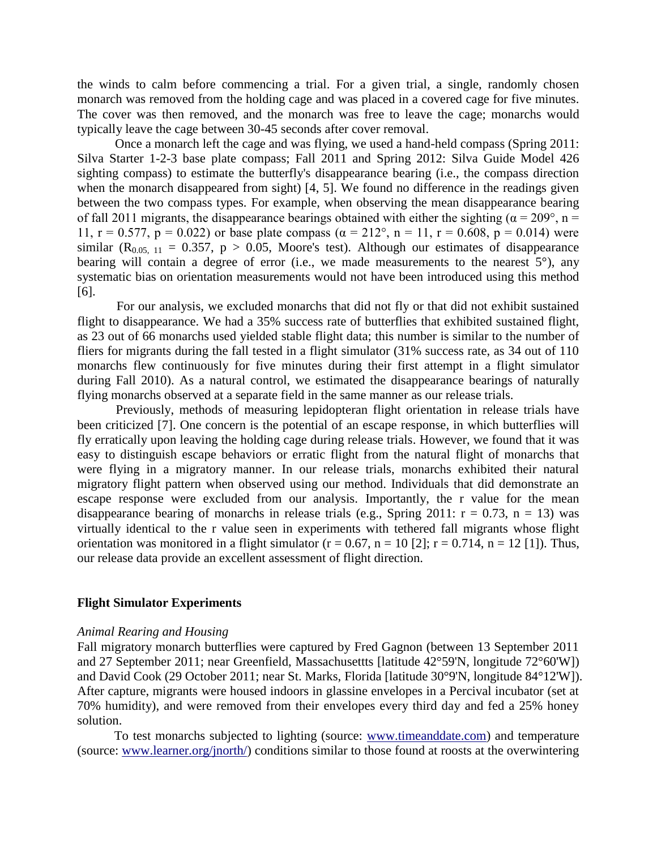the winds to calm before commencing a trial. For a given trial, a single, randomly chosen monarch was removed from the holding cage and was placed in a covered cage for five minutes. The cover was then removed, and the monarch was free to leave the cage; monarchs would typically leave the cage between 30-45 seconds after cover removal.

Once a monarch left the cage and was flying, we used a hand-held compass (Spring 2011: Silva Starter 1-2-3 base plate compass; Fall 2011 and Spring 2012: Silva Guide Model 426 sighting compass) to estimate the butterfly's disappearance bearing (i.e., the compass direction when the monarch disappeared from sight) [4, 5]. We found no difference in the readings given between the two compass types. For example, when observing the mean disappearance bearing of fall 2011 migrants, the disappearance bearings obtained with either the sighting ( $\alpha = 209^{\circ}$ , n = 11,  $r = 0.577$ ,  $p = 0.022$ ) or base plate compass ( $\alpha = 212^{\circ}$ ,  $n = 11$ ,  $r = 0.608$ ,  $p = 0.014$ ) were similar ( $R_{0.05, 11} = 0.357$ ,  $p > 0.05$ , Moore's test). Although our estimates of disappearance bearing will contain a degree of error (i.e., we made measurements to the nearest  $5^{\circ}$ ), any systematic bias on orientation measurements would not have been introduced using this method [6].

For our analysis, we excluded monarchs that did not fly or that did not exhibit sustained flight to disappearance. We had a 35% success rate of butterflies that exhibited sustained flight, as 23 out of 66 monarchs used yielded stable flight data; this number is similar to the number of fliers for migrants during the fall tested in a flight simulator (31% success rate, as 34 out of 110 monarchs flew continuously for five minutes during their first attempt in a flight simulator during Fall 2010). As a natural control, we estimated the disappearance bearings of naturally flying monarchs observed at a separate field in the same manner as our release trials.

Previously, methods of measuring lepidopteran flight orientation in release trials have been criticized [7]. One concern is the potential of an escape response, in which butterflies will fly erratically upon leaving the holding cage during release trials. However, we found that it was easy to distinguish escape behaviors or erratic flight from the natural flight of monarchs that were flying in a migratory manner. In our release trials, monarchs exhibited their natural migratory flight pattern when observed using our method. Individuals that did demonstrate an escape response were excluded from our analysis. Importantly, the r value for the mean disappearance bearing of monarchs in release trials (e.g., Spring 2011:  $r = 0.73$ ,  $n = 13$ ) was virtually identical to the r value seen in experiments with tethered fall migrants whose flight orientation was monitored in a flight simulator ( $r = 0.67$ ,  $n = 10$  [2];  $r = 0.714$ ,  $n = 12$  [1]). Thus, our release data provide an excellent assessment of flight direction.

#### **Flight Simulator Experiments**

#### *Animal Rearing and Housing*

Fall migratory monarch butterflies were captured by Fred Gagnon (between 13 September 2011 and 27 September 2011; near Greenfield, Massachusettts [latitude 42°59'N, longitude 72°60'W]) and David Cook (29 October 2011; near St. Marks, Florida [latitude 30°9'N, longitude 84°12'W]). After capture, migrants were housed indoors in glassine envelopes in a Percival incubator (set at 70% humidity), and were removed from their envelopes every third day and fed a 25% honey solution.

To test monarchs subjected to lighting (source: [www.timeanddate.com\)](http://www.timeanddate.com/) and temperature (source: [www.learner.org/jnorth/\)](http://www.learner.org/jnorth/) conditions similar to those found at roosts at the overwintering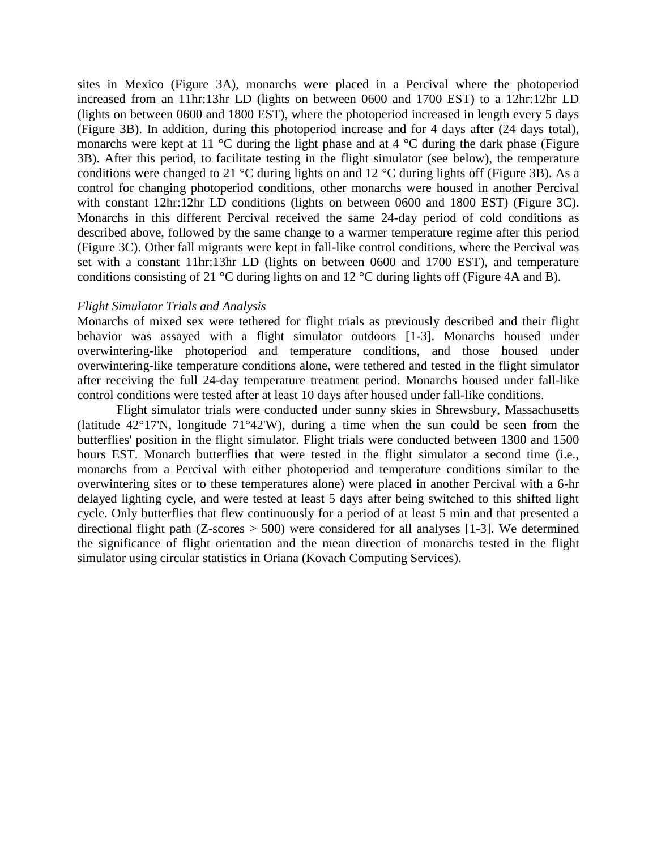sites in Mexico (Figure 3A), monarchs were placed in a Percival where the photoperiod increased from an 11hr:13hr LD (lights on between 0600 and 1700 EST) to a 12hr:12hr LD (lights on between 0600 and 1800 EST), where the photoperiod increased in length every 5 days (Figure 3B). In addition, during this photoperiod increase and for 4 days after (24 days total), monarchs were kept at 11  $\degree$ C during the light phase and at 4  $\degree$ C during the dark phase (Figure 3B). After this period, to facilitate testing in the flight simulator (see below), the temperature conditions were changed to 21 °C during lights on and 12 °C during lights off (Figure 3B). As a control for changing photoperiod conditions, other monarchs were housed in another Percival with constant 12hr:12hr LD conditions (lights on between 0600 and 1800 EST) (Figure 3C). Monarchs in this different Percival received the same 24-day period of cold conditions as described above, followed by the same change to a warmer temperature regime after this period (Figure 3C). Other fall migrants were kept in fall-like control conditions, where the Percival was set with a constant 11hr:13hr LD (lights on between 0600 and 1700 EST), and temperature conditions consisting of 21 °C during lights on and 12 °C during lights off (Figure 4A and B).

#### *Flight Simulator Trials and Analysis*

Monarchs of mixed sex were tethered for flight trials as previously described and their flight behavior was assayed with a flight simulator outdoors [1-3]. Monarchs housed under overwintering-like photoperiod and temperature conditions, and those housed under overwintering-like temperature conditions alone, were tethered and tested in the flight simulator after receiving the full 24-day temperature treatment period. Monarchs housed under fall-like control conditions were tested after at least 10 days after housed under fall-like conditions.

Flight simulator trials were conducted under sunny skies in Shrewsbury, Massachusetts (latitude 42°17'N, longitude 71°42'W), during a time when the sun could be seen from the butterflies' position in the flight simulator. Flight trials were conducted between 1300 and 1500 hours EST. Monarch butterflies that were tested in the flight simulator a second time (i.e., monarchs from a Percival with either photoperiod and temperature conditions similar to the overwintering sites or to these temperatures alone) were placed in another Percival with a 6-hr delayed lighting cycle, and were tested at least 5 days after being switched to this shifted light cycle. Only butterflies that flew continuously for a period of at least 5 min and that presented a directional flight path ( $Z$ -scores  $> 500$ ) were considered for all analyses [1-3]. We determined the significance of flight orientation and the mean direction of monarchs tested in the flight simulator using circular statistics in Oriana (Kovach Computing Services).